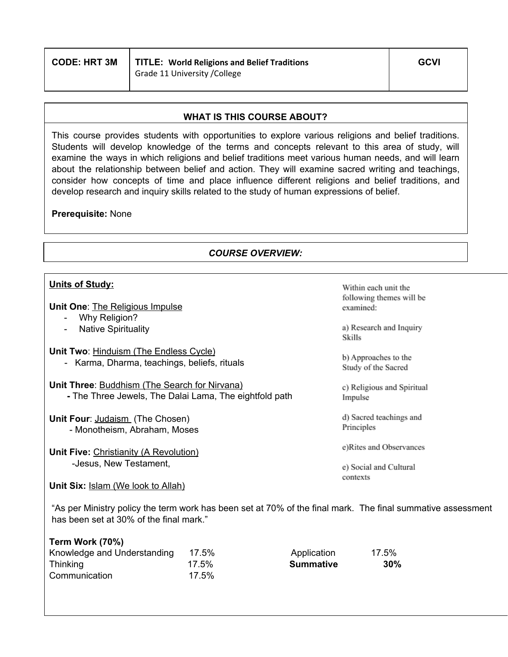| <b>CODE: HRT 3M</b> | TITLE: World Religions and Belief Traditions | <b>GCVI</b> |
|---------------------|----------------------------------------------|-------------|
|                     | Grade 11 University / College                |             |

#### **WHAT IS THIS COURSE ABOUT?**

This course provides students with opportunities to explore various religions and belief traditions. Students will develop knowledge of the terms and concepts relevant to this area of study, will examine the ways in which religions and belief traditions meet various human needs, and will learn about the relationship between belief and action. They will examine sacred writing and teachings, consider how concepts of time and place influence different religions and belief traditions, and develop research and inquiry skills related to the study of human expressions of belief.

#### **Prerequisite:** None

## *COURSE OVERVIEW:*

Within each unit the

## **Units of Study:**

**Term Work (70%)**

| <b>Unit One: The Religious Impulse</b>                 | following themes will be<br>examined:       |
|--------------------------------------------------------|---------------------------------------------|
| Why Religion?<br>$\overline{\phantom{a}}$              |                                             |
| <b>Native Spirituality</b><br>$\overline{\phantom{a}}$ | a) Research and Inquiry<br>Skills           |
| Unit Two: Hinduism (The Endless Cycle)                 |                                             |
| - Karma, Dharma, teachings, beliefs, rituals           | b) Approaches to the<br>Study of the Sacred |
| Unit Three: Buddhism (The Search for Nirvana)          | c) Religious and Spiritual                  |
| - The Three Jewels, The Dalai Lama, The eightfold path | Impulse                                     |
| Unit Four: Judaism (The Chosen)                        | d) Sacred teachings and                     |
| - Monotheism, Abraham, Moses                           | Principles                                  |
| Unit Five: Christianity (A Revolution)                 | e)Rites and Observances                     |
| -Jesus, New Testament,                                 | e) Social and Cultural                      |
|                                                        | contexts                                    |
| <b>Unit Six:</b> Islam (We look to Allah)              |                                             |

"As per Ministry policy the term work has been set at 70% of the final mark. The final summative assessment has been set at 30% of the final mark."

| <b>Term Work (70%)</b>      |       |             |       |
|-----------------------------|-------|-------------|-------|
| Knowledge and Understanding | 17.5% | Application | 17.5% |
| Thinking                    | 17.5% | Summative   | 30%   |
| Communication               | 17.5% |             |       |